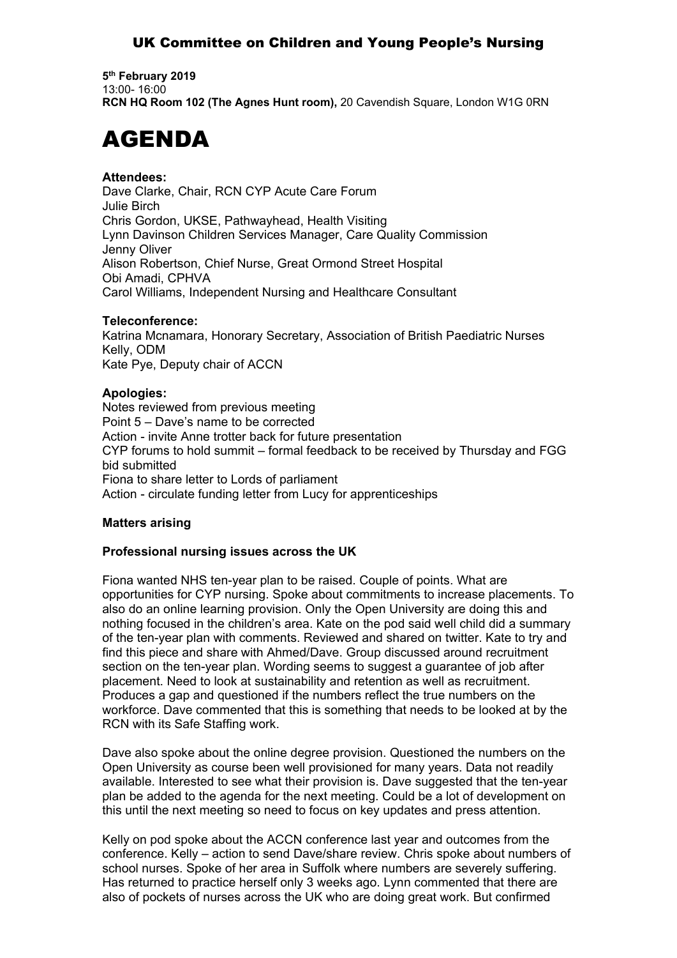# UK Committee on Children and Young People's Nursing

**5 th February 2019** 13:00- 16:00 **RCN HQ Room 102 (The Agnes Hunt room),** 20 Cavendish Square, London W1G 0RN

# AGENDA

# **Attendees:**

Dave Clarke, Chair, RCN CYP Acute Care Forum Julie Birch Chris Gordon, UKSE, Pathwayhead, Health Visiting Lynn Davinson Children Services Manager, Care Quality Commission Jenny Oliver Alison Robertson, Chief Nurse, Great Ormond Street Hospital Obi Amadi, CPHVA Carol Williams, Independent Nursing and Healthcare Consultant

## **Teleconference:**

Katrina Mcnamara, Honorary Secretary, Association of British Paediatric Nurses Kelly, ODM Kate Pye, Deputy chair of ACCN

## **Apologies:**

Notes reviewed from previous meeting Point 5 – Dave's name to be corrected Action - invite Anne trotter back for future presentation CYP forums to hold summit – formal feedback to be received by Thursday and FGG bid submitted Fiona to share letter to Lords of parliament Action - circulate funding letter from Lucy for apprenticeships

## **Matters arising**

## **Professional nursing issues across the UK**

Fiona wanted NHS ten-year plan to be raised. Couple of points. What are opportunities for CYP nursing. Spoke about commitments to increase placements. To also do an online learning provision. Only the Open University are doing this and nothing focused in the children's area. Kate on the pod said well child did a summary of the ten-year plan with comments. Reviewed and shared on twitter. Kate to try and find this piece and share with Ahmed/Dave. Group discussed around recruitment section on the ten-year plan. Wording seems to suggest a guarantee of job after placement. Need to look at sustainability and retention as well as recruitment. Produces a gap and questioned if the numbers reflect the true numbers on the workforce. Dave commented that this is something that needs to be looked at by the RCN with its Safe Staffing work.

Dave also spoke about the online degree provision. Questioned the numbers on the Open University as course been well provisioned for many years. Data not readily available. Interested to see what their provision is. Dave suggested that the ten-year plan be added to the agenda for the next meeting. Could be a lot of development on this until the next meeting so need to focus on key updates and press attention.

Kelly on pod spoke about the ACCN conference last year and outcomes from the conference. Kelly – action to send Dave/share review. Chris spoke about numbers of school nurses. Spoke of her area in Suffolk where numbers are severely suffering. Has returned to practice herself only 3 weeks ago. Lynn commented that there are also of pockets of nurses across the UK who are doing great work. But confirmed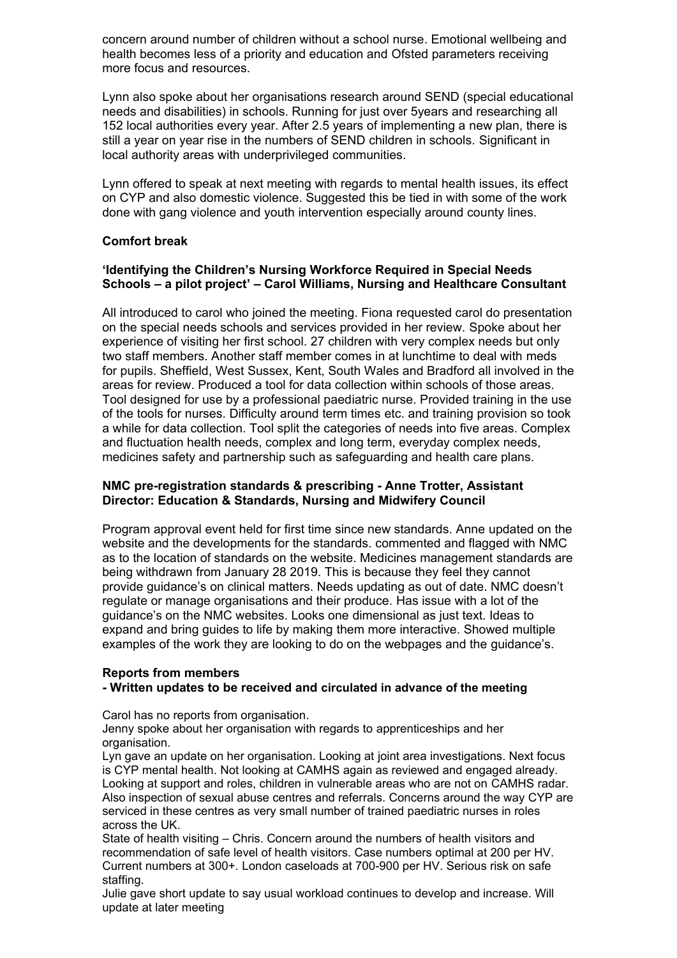concern around number of children without a school nurse. Emotional wellbeing and health becomes less of a priority and education and Ofsted parameters receiving more focus and resources.

Lynn also spoke about her organisations research around SEND (special educational needs and disabilities) in schools. Running for just over 5years and researching all 152 local authorities every year. After 2.5 years of implementing a new plan, there is still a year on year rise in the numbers of SEND children in schools. Significant in local authority areas with underprivileged communities.

Lynn offered to speak at next meeting with regards to mental health issues, its effect on CYP and also domestic violence. Suggested this be tied in with some of the work done with gang violence and youth intervention especially around county lines.

## **Comfort break**

#### **'Identifying the Children's Nursing Workforce Required in Special Needs Schools – a pilot project' – Carol Williams, Nursing and Healthcare Consultant**

All introduced to carol who joined the meeting. Fiona requested carol do presentation on the special needs schools and services provided in her review. Spoke about her experience of visiting her first school. 27 children with very complex needs but only two staff members. Another staff member comes in at lunchtime to deal with meds for pupils. Sheffield, West Sussex, Kent, South Wales and Bradford all involved in the areas for review. Produced a tool for data collection within schools of those areas. Tool designed for use by a professional paediatric nurse. Provided training in the use of the tools for nurses. Difficulty around term times etc. and training provision so took a while for data collection. Tool split the categories of needs into five areas. Complex and fluctuation health needs, complex and long term, everyday complex needs, medicines safety and partnership such as safeguarding and health care plans.

#### **NMC pre-registration standards & prescribing - Anne Trotter, Assistant Director: Education & Standards, Nursing and Midwifery Council**

Program approval event held for first time since new standards. Anne updated on the website and the developments for the standards. commented and flagged with NMC as to the location of standards on the website. Medicines management standards are being withdrawn from January 28 2019. This is because they feel they cannot provide guidance's on clinical matters. Needs updating as out of date. NMC doesn't regulate or manage organisations and their produce. Has issue with a lot of the guidance's on the NMC websites. Looks one dimensional as just text. Ideas to expand and bring guides to life by making them more interactive. Showed multiple examples of the work they are looking to do on the webpages and the guidance's.

## **Reports from members**

## **- Written updates to be received and circulated in advance of the meeting**

Carol has no reports from organisation.

Jenny spoke about her organisation with regards to apprenticeships and her organisation.

Lyn gave an update on her organisation. Looking at joint area investigations. Next focus is CYP mental health. Not looking at CAMHS again as reviewed and engaged already. Looking at support and roles, children in vulnerable areas who are not on CAMHS radar. Also inspection of sexual abuse centres and referrals. Concerns around the way CYP are serviced in these centres as very small number of trained paediatric nurses in roles across the UK.

State of health visiting – Chris. Concern around the numbers of health visitors and recommendation of safe level of health visitors. Case numbers optimal at 200 per HV. Current numbers at 300+. London caseloads at 700-900 per HV. Serious risk on safe staffing.

Julie gave short update to say usual workload continues to develop and increase. Will update at later meeting